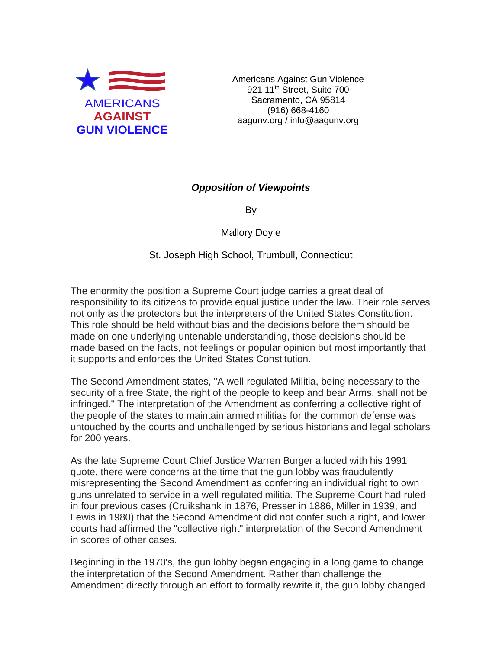

Americans Against Gun Violence 921 11<sup>th</sup> Street, Suite 700 Sacramento, CA 95814 (916) 668-4160 aagunv.org / info@aagunv.org

## *Opposition of Viewpoints*

By

Mallory Doyle

St. Joseph High School, Trumbull, Connecticut

The enormity the position a Supreme Court judge carries a great deal of responsibility to its citizens to provide equal justice under the law. Their role serves not only as the protectors but the interpreters of the United States Constitution. This role should be held without bias and the decisions before them should be made on one underlying untenable understanding, those decisions should be made based on the facts, not feelings or popular opinion but most importantly that it supports and enforces the United States Constitution.

The Second Amendment states, "A well-regulated Militia, being necessary to the security of a free State, the right of the people to keep and bear Arms, shall not be infringed." The interpretation of the Amendment as conferring a collective right of the people of the states to maintain armed militias for the common defense was untouched by the courts and unchallenged by serious historians and legal scholars for 200 years.

As the late Supreme Court Chief Justice Warren Burger alluded with his 1991 quote, there were concerns at the time that the gun lobby was fraudulently misrepresenting the Second Amendment as conferring an individual right to own guns unrelated to service in a well regulated militia. The Supreme Court had ruled in four previous cases (Cruikshank in 1876, Presser in 1886, Miller in 1939, and Lewis in 1980) that the Second Amendment did not confer such a right, and lower courts had affirmed the "collective right" interpretation of the Second Amendment in scores of other cases.

Beginning in the 1970's, the gun lobby began engaging in a long game to change the interpretation of the Second Amendment. Rather than challenge the Amendment directly through an effort to formally rewrite it, the gun lobby changed